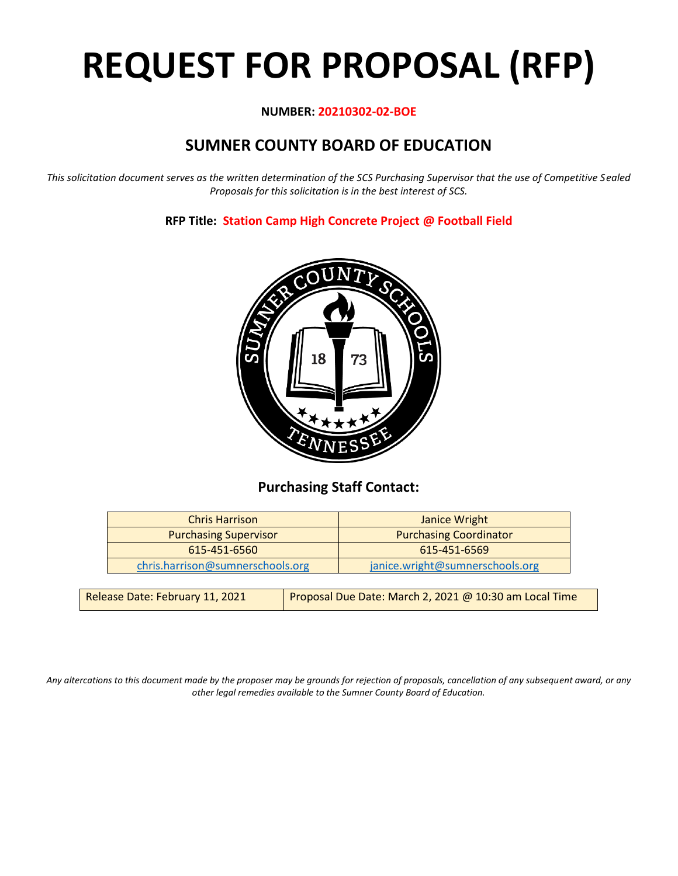# **REQUEST FOR PROPOSAL (RFP)**

#### **NUMBER: 20210302-02-BOE**

# **SUMNER COUNTY BOARD OF EDUCATION**

*This solicitation document serves as the written determination of the SCS Purchasing Supervisor that the use of Competitive Sealed Proposals for this solicitation is in the best interest of SCS.*

#### **RFP Title: Station Camp High Concrete Project @ Football Field**



## **Purchasing Staff Contact:**

| <b>Chris Harrison</b>            | Janice Wright                   |
|----------------------------------|---------------------------------|
| <b>Purchasing Supervisor</b>     | <b>Purchasing Coordinator</b>   |
| 615-451-6560                     | 615-451-6569                    |
| chris.harrison@sumnerschools.org | janice.wright@sumnerschools.org |
|                                  |                                 |

| Release Date: February 11, 2021 | <b>Proposal Due Date: March 2, 2021 @ 10:30 am Local Time</b> |
|---------------------------------|---------------------------------------------------------------|
|                                 |                                                               |

*Any altercations to this document made by the proposer may be grounds for rejection of proposals, cancellation of any subsequent award, or any other legal remedies available to the Sumner County Board of Education.*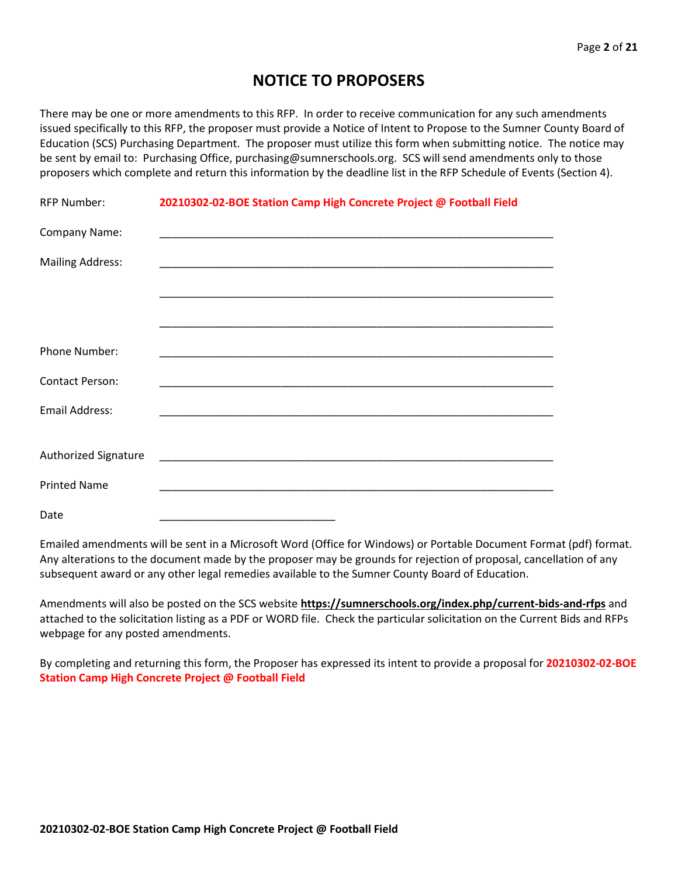## **NOTICE TO PROPOSERS**

There may be one or more amendments to this RFP. In order to receive communication for any such amendments issued specifically to this RFP, the proposer must provide a Notice of Intent to Propose to the Sumner County Board of Education (SCS) Purchasing Department. The proposer must utilize this form when submitting notice. The notice may be sent by email to: Purchasing Office, purchasing@sumnerschools.org. SCS will send amendments only to those proposers which complete and return this information by the deadline list in the RFP Schedule of Events (Section 4).

| <b>RFP Number:</b>          | 20210302-02-BOE Station Camp High Concrete Project @ Football Field |  |
|-----------------------------|---------------------------------------------------------------------|--|
| Company Name:               |                                                                     |  |
| <b>Mailing Address:</b>     |                                                                     |  |
|                             |                                                                     |  |
|                             |                                                                     |  |
| Phone Number:               |                                                                     |  |
| <b>Contact Person:</b>      |                                                                     |  |
| <b>Email Address:</b>       |                                                                     |  |
|                             |                                                                     |  |
| <b>Authorized Signature</b> |                                                                     |  |
| <b>Printed Name</b>         |                                                                     |  |
| Date                        |                                                                     |  |

Emailed amendments will be sent in a Microsoft Word (Office for Windows) or Portable Document Format (pdf) format. Any alterations to the document made by the proposer may be grounds for rejection of proposal, cancellation of any subsequent award or any other legal remedies available to the Sumner County Board of Education.

Amendments will also be posted on the SCS website **https://sumnerschools.org/index.php/current-bids-and-rfps** and attached to the solicitation listing as a PDF or WORD file. Check the particular solicitation on the Current Bids and RFPs webpage for any posted amendments.

By completing and returning this form, the Proposer has expressed its intent to provide a proposal for **20210302-02-BOE Station Camp High Concrete Project @ Football Field**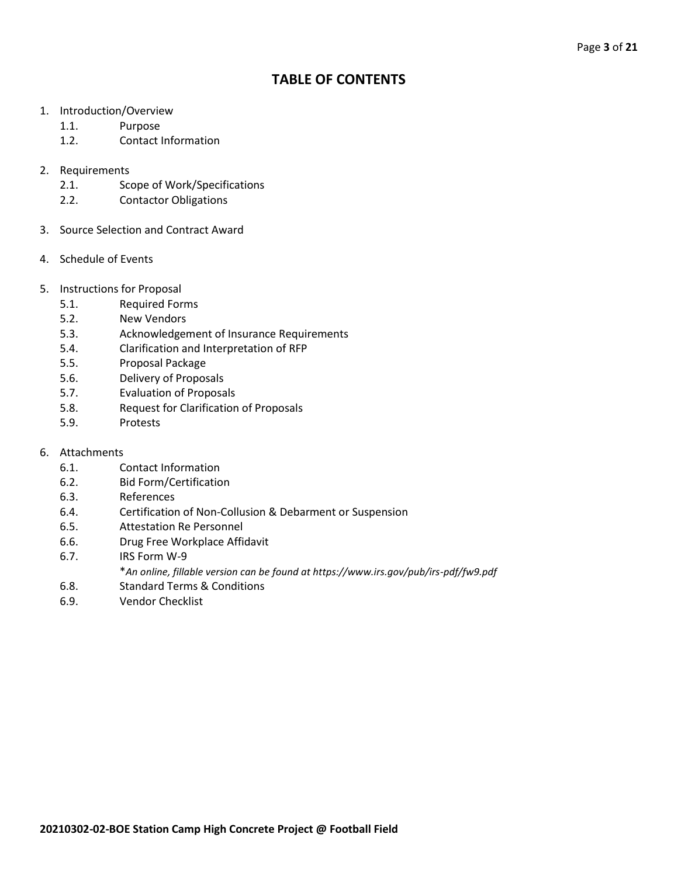## **TABLE OF CONTENTS**

- 1. Introduction/Overview
	- 1.1. Purpose
	- 1.2. Contact Information
- 2. Requirements
	- 2.1. Scope of Work/Specifications
	- 2.2. Contactor Obligations
- 3. Source Selection and Contract Award
- 4. Schedule of Events
- 5. Instructions for Proposal
	- 5.1. Required Forms
	- 5.2. New Vendors
	- 5.3. Acknowledgement of Insurance Requirements
	- 5.4. Clarification and Interpretation of RFP
	- 5.5. Proposal Package
	- 5.6. Delivery of Proposals
	- 5.7. Evaluation of Proposals
	- 5.8. Request for Clarification of Proposals
	- 5.9. Protests
- 6. Attachments
	- 6.1. Contact Information
	- 6.2. Bid Form/Certification
	- 6.3. References
	- 6.4. Certification of Non-Collusion & Debarment or Suspension
	- 6.5. Attestation Re Personnel
	- 6.6. Drug Free Workplace Affidavit
	- 6.7. IRS Form W-9
		- \**An online, fillable version can be found at https://www.irs.gov/pub/irs-pdf/fw9.pdf*
	- 6.8. Standard Terms & Conditions
	- 6.9. Vendor Checklist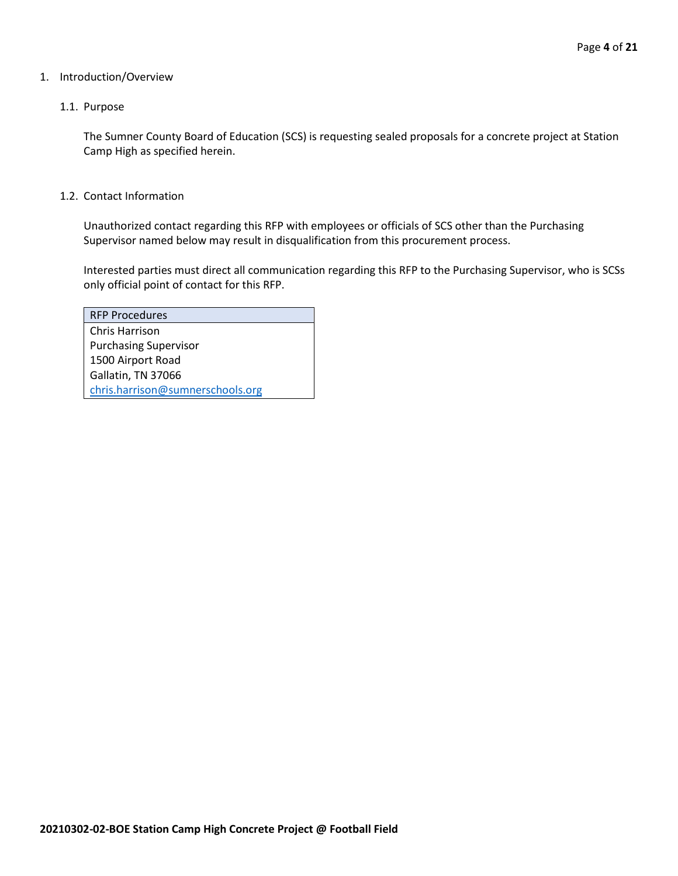#### 1. Introduction/Overview

#### 1.1. Purpose

The Sumner County Board of Education (SCS) is requesting sealed proposals for a concrete project at Station Camp High as specified herein.

1.2. Contact Information

Unauthorized contact regarding this RFP with employees or officials of SCS other than the Purchasing Supervisor named below may result in disqualification from this procurement process.

Interested parties must direct all communication regarding this RFP to the Purchasing Supervisor, who is SCSs only official point of contact for this RFP.

| <b>RFP Procedures</b>            |
|----------------------------------|
| Chris Harrison                   |
| <b>Purchasing Supervisor</b>     |
| 1500 Airport Road                |
| Gallatin, TN 37066               |
| chris.harrison@sumnerschools.org |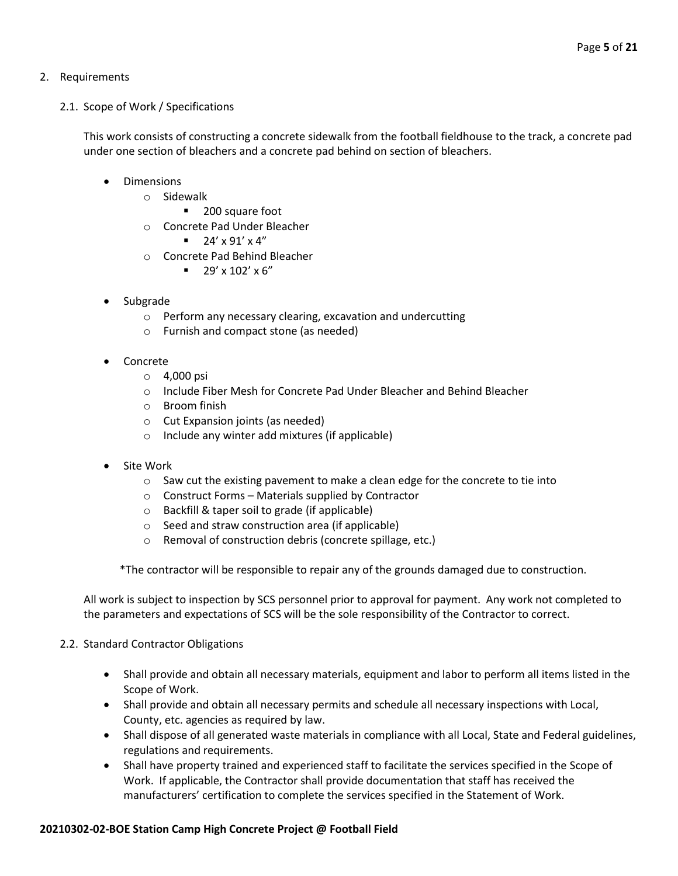#### 2. Requirements

#### 2.1. Scope of Work / Specifications

This work consists of constructing a concrete sidewalk from the football fieldhouse to the track, a concrete pad under one section of bleachers and a concrete pad behind on section of bleachers.

- Dimensions
	- o Sidewalk
		- 200 square foot
	- o Concrete Pad Under Bleacher
		- $= 24' \times 91' \times 4''$
	- o Concrete Pad Behind Bleacher
		- $\blacksquare$  29' x 102' x 6"
- Subgrade
	- o Perform any necessary clearing, excavation and undercutting
	- o Furnish and compact stone (as needed)
- Concrete
	- o 4,000 psi
	- o Include Fiber Mesh for Concrete Pad Under Bleacher and Behind Bleacher
	- o Broom finish
	- o Cut Expansion joints (as needed)
	- o Include any winter add mixtures (if applicable)
- Site Work
	- o Saw cut the existing pavement to make a clean edge for the concrete to tie into
	- o Construct Forms Materials supplied by Contractor
	- o Backfill & taper soil to grade (if applicable)
	- o Seed and straw construction area (if applicable)
	- o Removal of construction debris (concrete spillage, etc.)

\*The contractor will be responsible to repair any of the grounds damaged due to construction.

All work is subject to inspection by SCS personnel prior to approval for payment. Any work not completed to the parameters and expectations of SCS will be the sole responsibility of the Contractor to correct.

#### 2.2. Standard Contractor Obligations

- Shall provide and obtain all necessary materials, equipment and labor to perform all items listed in the Scope of Work.
- Shall provide and obtain all necessary permits and schedule all necessary inspections with Local, County, etc. agencies as required by law.
- Shall dispose of all generated waste materials in compliance with all Local, State and Federal guidelines, regulations and requirements.
- Shall have property trained and experienced staff to facilitate the services specified in the Scope of Work. If applicable, the Contractor shall provide documentation that staff has received the manufacturers' certification to complete the services specified in the Statement of Work.

#### **20210302-02-BOE Station Camp High Concrete Project @ Football Field**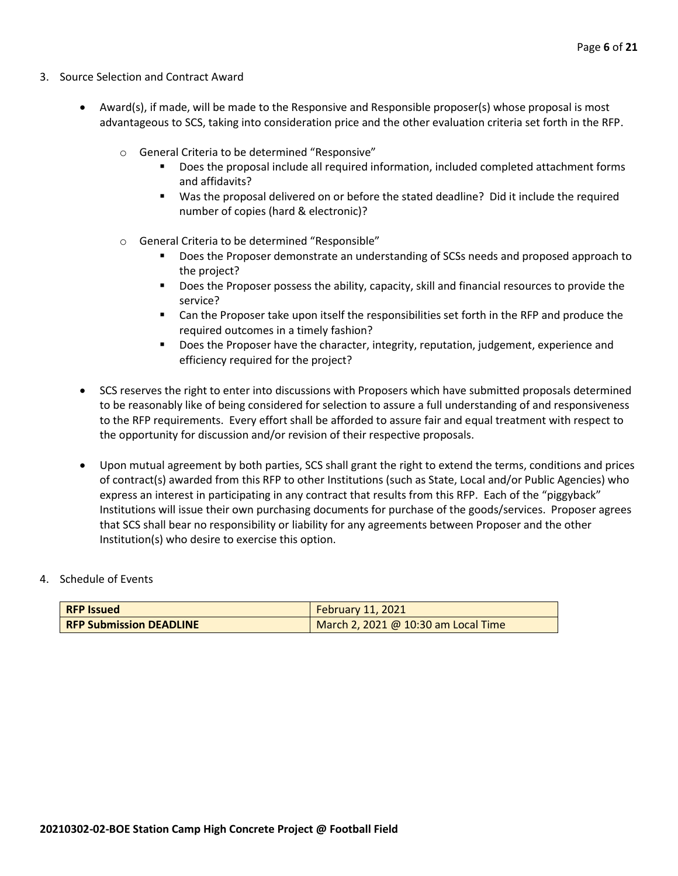- 3. Source Selection and Contract Award
	- Award(s), if made, will be made to the Responsive and Responsible proposer(s) whose proposal is most advantageous to SCS, taking into consideration price and the other evaluation criteria set forth in the RFP.
		- o General Criteria to be determined "Responsive"
			- Does the proposal include all required information, included completed attachment forms and affidavits?
			- Was the proposal delivered on or before the stated deadline? Did it include the required number of copies (hard & electronic)?
		- o General Criteria to be determined "Responsible"
			- Does the Proposer demonstrate an understanding of SCSs needs and proposed approach to the project?
			- Does the Proposer possess the ability, capacity, skill and financial resources to provide the service?
			- Can the Proposer take upon itself the responsibilities set forth in the RFP and produce the required outcomes in a timely fashion?
			- **■** Does the Proposer have the character, integrity, reputation, judgement, experience and efficiency required for the project?
	- SCS reserves the right to enter into discussions with Proposers which have submitted proposals determined to be reasonably like of being considered for selection to assure a full understanding of and responsiveness to the RFP requirements. Every effort shall be afforded to assure fair and equal treatment with respect to the opportunity for discussion and/or revision of their respective proposals.
	- Upon mutual agreement by both parties, SCS shall grant the right to extend the terms, conditions and prices of contract(s) awarded from this RFP to other Institutions (such as State, Local and/or Public Agencies) who express an interest in participating in any contract that results from this RFP. Each of the "piggyback" Institutions will issue their own purchasing documents for purchase of the goods/services. Proposer agrees that SCS shall bear no responsibility or liability for any agreements between Proposer and the other Institution(s) who desire to exercise this option.

#### 4. Schedule of Events

| <b>RFP Issued</b>              | February 11, 2021                   |
|--------------------------------|-------------------------------------|
| <b>RFP Submission DEADLINE</b> | March 2, 2021 @ 10:30 am Local Time |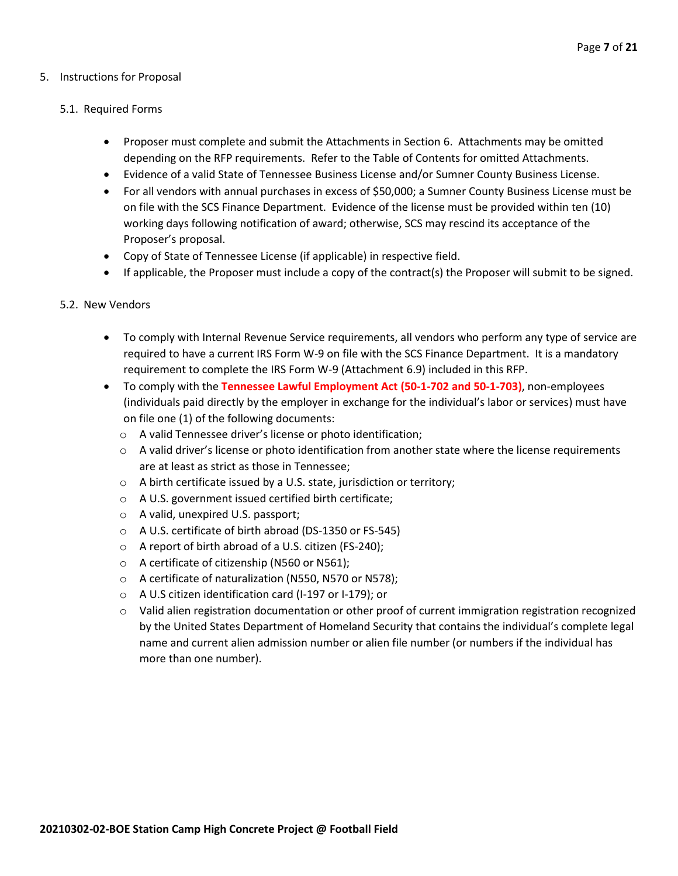#### 5. Instructions for Proposal

#### 5.1. Required Forms

- Proposer must complete and submit the Attachments in Section 6. Attachments may be omitted depending on the RFP requirements. Refer to the Table of Contents for omitted Attachments.
- Evidence of a valid State of Tennessee Business License and/or Sumner County Business License.
- For all vendors with annual purchases in excess of \$50,000; a Sumner County Business License must be on file with the SCS Finance Department. Evidence of the license must be provided within ten (10) working days following notification of award; otherwise, SCS may rescind its acceptance of the Proposer's proposal.
- Copy of State of Tennessee License (if applicable) in respective field.
- If applicable, the Proposer must include a copy of the contract(s) the Proposer will submit to be signed.

#### 5.2. New Vendors

- To comply with Internal Revenue Service requirements, all vendors who perform any type of service are required to have a current IRS Form W-9 on file with the SCS Finance Department. It is a mandatory requirement to complete the IRS Form W-9 (Attachment 6.9) included in this RFP.
- To comply with the **Tennessee Lawful Employment Act (50-1-702 and 50-1-703)**, non-employees (individuals paid directly by the employer in exchange for the individual's labor or services) must have on file one (1) of the following documents:
	- o A valid Tennessee driver's license or photo identification;
	- $\circ$  A valid driver's license or photo identification from another state where the license requirements are at least as strict as those in Tennessee;
	- o A birth certificate issued by a U.S. state, jurisdiction or territory;
	- o A U.S. government issued certified birth certificate;
	- o A valid, unexpired U.S. passport;
	- o A U.S. certificate of birth abroad (DS-1350 or FS-545)
	- o A report of birth abroad of a U.S. citizen (FS-240);
	- o A certificate of citizenship (N560 or N561);
	- o A certificate of naturalization (N550, N570 or N578);
	- o A U.S citizen identification card (I-197 or I-179); or
	- $\circ$  Valid alien registration documentation or other proof of current immigration registration recognized by the United States Department of Homeland Security that contains the individual's complete legal name and current alien admission number or alien file number (or numbers if the individual has more than one number).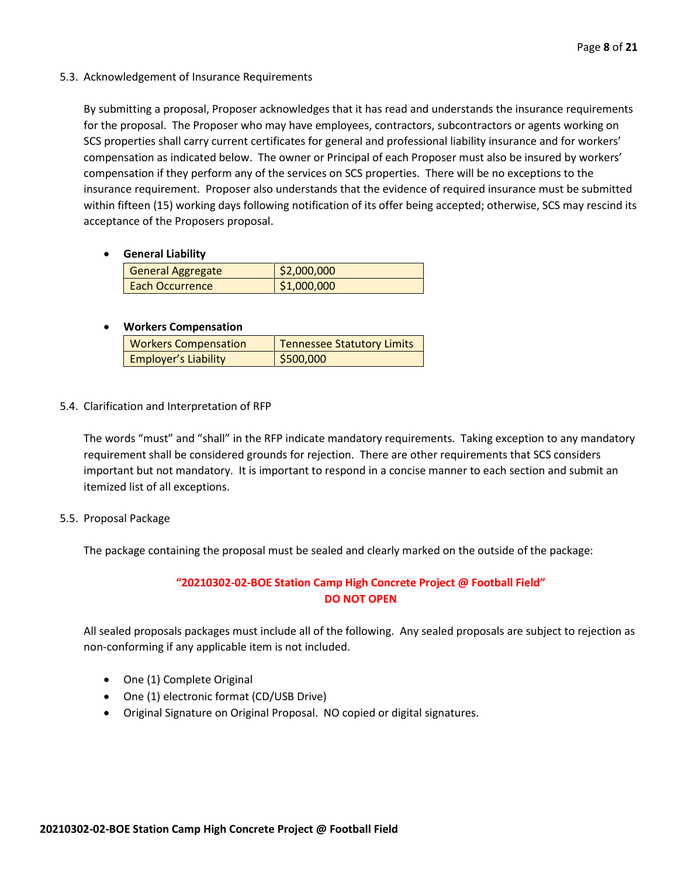5.3. Acknowledgement of Insurance Requirements

By submitting a proposal, Proposer acknowledges that it has read and understands the insurance requirements for the proposal. The Proposer who may have employees, contractors, subcontractors or agents working on SCS properties shall carry current certificates for general and professional liability insurance and for workers' compensation as indicated below. The owner or Principal of each Proposer must also be insured by workers' compensation if they perform any of the services on SCS properties. There will be no exceptions to the insurance requirement. Proposer also understands that the evidence of required insurance must be submitted within fifteen (15) working days following notification of its offer being accepted; otherwise, SCS may rescind its acceptance of the Proposers proposal.

• **General Liability**

| General Aggregate      | \$2,000,000 |
|------------------------|-------------|
| <b>Each Occurrence</b> | \$1,000,000 |

#### • **Workers Compensation**

| <b>Workers Compensation</b> | <b>Tennessee Statutory Limits</b> |
|-----------------------------|-----------------------------------|
| <b>Employer's Liability</b> | \$500,000                         |

5.4. Clarification and Interpretation of RFP

The words "must" and "shall" in the RFP indicate mandatory requirements. Taking exception to any mandatory requirement shall be considered grounds for rejection. There are other requirements that SCS considers important but not mandatory. It is important to respond in a concise manner to each section and submit an itemized list of all exceptions.

5.5. Proposal Package

The package containing the proposal must be sealed and clearly marked on the outside of the package:

#### **"20210302-02-BOE Station Camp High Concrete Project @ Football Field" DO NOT OPEN**

All sealed proposals packages must include all of the following. Any sealed proposals are subject to rejection as non-conforming if any applicable item is not included.

- One (1) Complete Original
- One (1) electronic format (CD/USB Drive)
- Original Signature on Original Proposal. NO copied or digital signatures.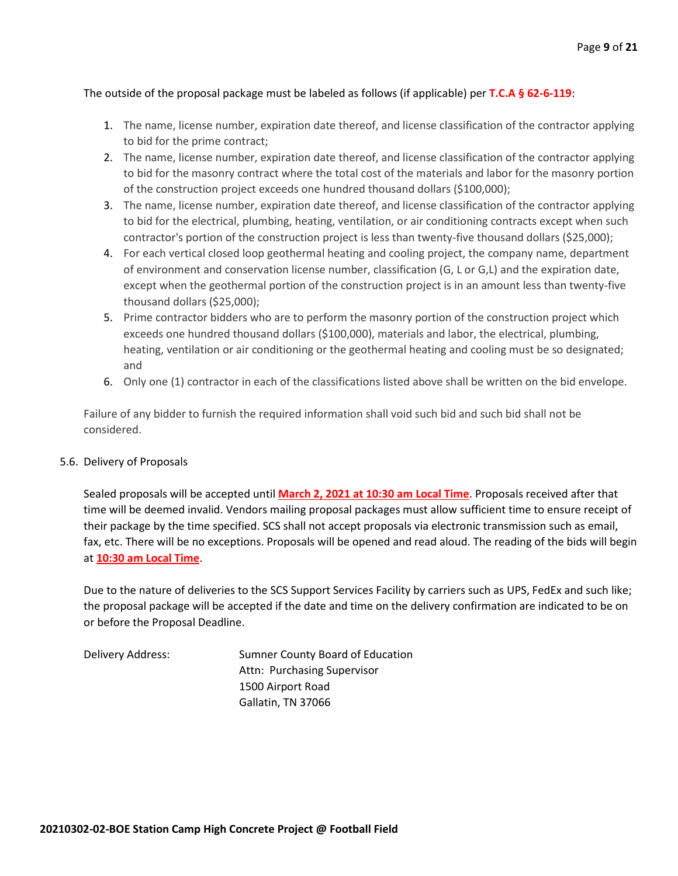#### The outside of the proposal package must be labeled as follows (if applicable) per **T.C.A § 62-6-119**:

- 1. The name, license number, expiration date thereof, and license classification of the contractor applying to bid for the prime contract;
- 2. The name, license number, expiration date thereof, and license classification of the contractor applying to bid for the masonry contract where the total cost of the materials and labor for the masonry portion of the construction project exceeds one hundred thousand dollars (\$100,000);
- 3. The name, license number, expiration date thereof, and license classification of the contractor applying to bid for the electrical, plumbing, heating, ventilation, or air conditioning contracts except when such contractor's portion of the construction project is less than twenty-five thousand dollars (\$25,000);
- 4. For each vertical closed loop geothermal heating and cooling project, the company name, department of environment and conservation license number, classification (G, L or G,L) and the expiration date, except when the geothermal portion of the construction project is in an amount less than twenty-five thousand dollars (\$25,000);
- 5. Prime contractor bidders who are to perform the masonry portion of the construction project which exceeds one hundred thousand dollars (\$100,000), materials and labor, the electrical, plumbing, heating, ventilation or air conditioning or the geothermal heating and cooling must be so designated; and
- 6. Only one (1) contractor in each of the classifications listed above shall be written on the bid envelope.

Failure of any bidder to furnish the required information shall void such bid and such bid shall not be considered.

#### 5.6. Delivery of Proposals

Sealed proposals will be accepted until **March 2, 2021 at 10:30 am Local Time**. Proposals received after that time will be deemed invalid. Vendors mailing proposal packages must allow sufficient time to ensure receipt of their package by the time specified. SCS shall not accept proposals via electronic transmission such as email, fax, etc. There will be no exceptions. Proposals will be opened and read aloud. The reading of the bids will begin at **10:30 am Local Time**.

Due to the nature of deliveries to the SCS Support Services Facility by carriers such as UPS, FedEx and such like; the proposal package will be accepted if the date and time on the delivery confirmation are indicated to be on or before the Proposal Deadline.

Delivery Address: Sumner County Board of Education Attn: Purchasing Supervisor 1500 Airport Road Gallatin, TN 37066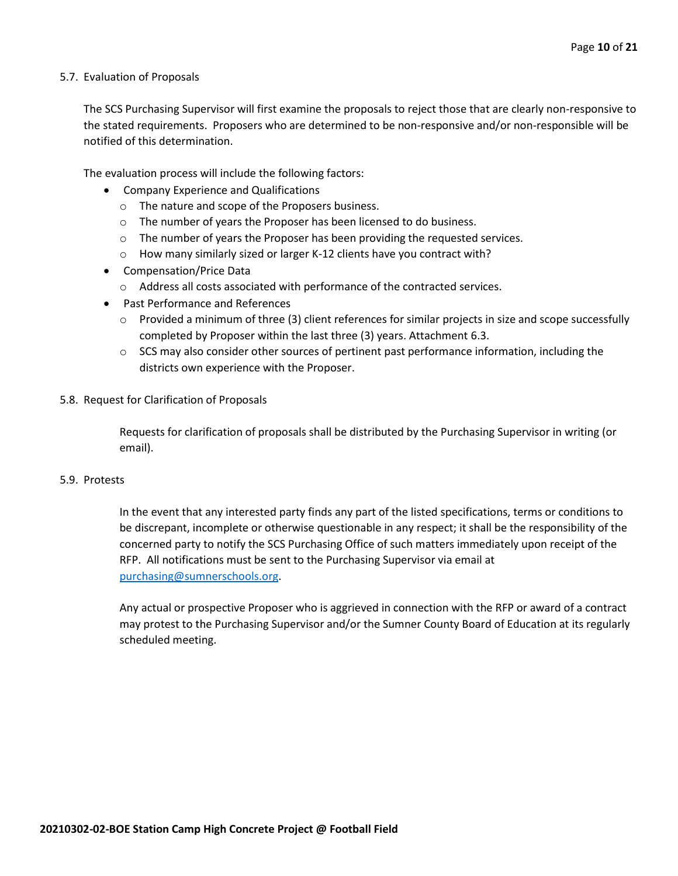#### 5.7. Evaluation of Proposals

The SCS Purchasing Supervisor will first examine the proposals to reject those that are clearly non-responsive to the stated requirements. Proposers who are determined to be non-responsive and/or non-responsible will be notified of this determination.

The evaluation process will include the following factors:

- Company Experience and Qualifications
	- o The nature and scope of the Proposers business.
	- $\circ$  The number of years the Proposer has been licensed to do business.
	- $\circ$  The number of years the Proposer has been providing the requested services.
	- o How many similarly sized or larger K-12 clients have you contract with?
- Compensation/Price Data
	- o Address all costs associated with performance of the contracted services.
- Past Performance and References
	- $\circ$  Provided a minimum of three (3) client references for similar projects in size and scope successfully completed by Proposer within the last three (3) years. Attachment 6.3.
	- $\circ$  SCS may also consider other sources of pertinent past performance information, including the districts own experience with the Proposer.
- 5.8. Request for Clarification of Proposals

Requests for clarification of proposals shall be distributed by the Purchasing Supervisor in writing (or email).

#### 5.9. Protests

In the event that any interested party finds any part of the listed specifications, terms or conditions to be discrepant, incomplete or otherwise questionable in any respect; it shall be the responsibility of the concerned party to notify the SCS Purchasing Office of such matters immediately upon receipt of the RFP. All notifications must be sent to the Purchasing Supervisor via email at [purchasing@sumnerschools.org.](mailto:purchasing@sumnerschools.org)

Any actual or prospective Proposer who is aggrieved in connection with the RFP or award of a contract may protest to the Purchasing Supervisor and/or the Sumner County Board of Education at its regularly scheduled meeting.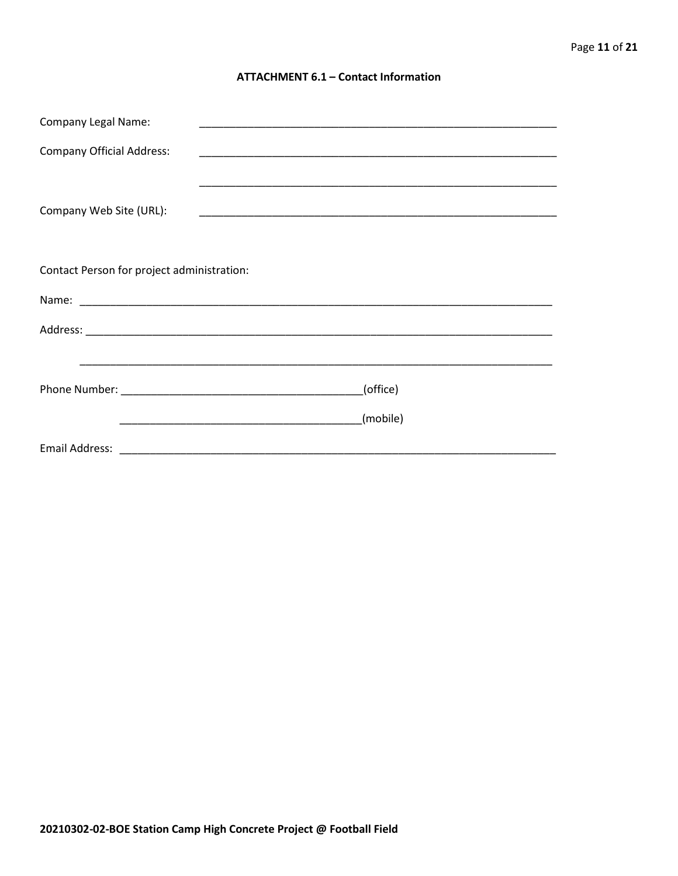#### **ATTACHMENT 6.1 - Contact Information**

| <b>Company Legal Name:</b>                 | <u> 1989 - Johann John Stoff, deutscher Stoffen und der Stoffen und der Stoffen und der Stoffen und der Stoffen</u>  |          |  |
|--------------------------------------------|----------------------------------------------------------------------------------------------------------------------|----------|--|
| <b>Company Official Address:</b>           |                                                                                                                      |          |  |
|                                            |                                                                                                                      |          |  |
|                                            |                                                                                                                      |          |  |
| Company Web Site (URL):                    |                                                                                                                      |          |  |
|                                            |                                                                                                                      |          |  |
| Contact Person for project administration: |                                                                                                                      |          |  |
|                                            |                                                                                                                      |          |  |
|                                            |                                                                                                                      |          |  |
|                                            |                                                                                                                      |          |  |
|                                            |                                                                                                                      |          |  |
|                                            |                                                                                                                      | (office) |  |
|                                            | <u> 1989 - Johann John Harry Harry Harry Harry Harry Harry Harry Harry Harry Harry Harry Harry Harry Harry Harry</u> | (mobile) |  |
|                                            |                                                                                                                      |          |  |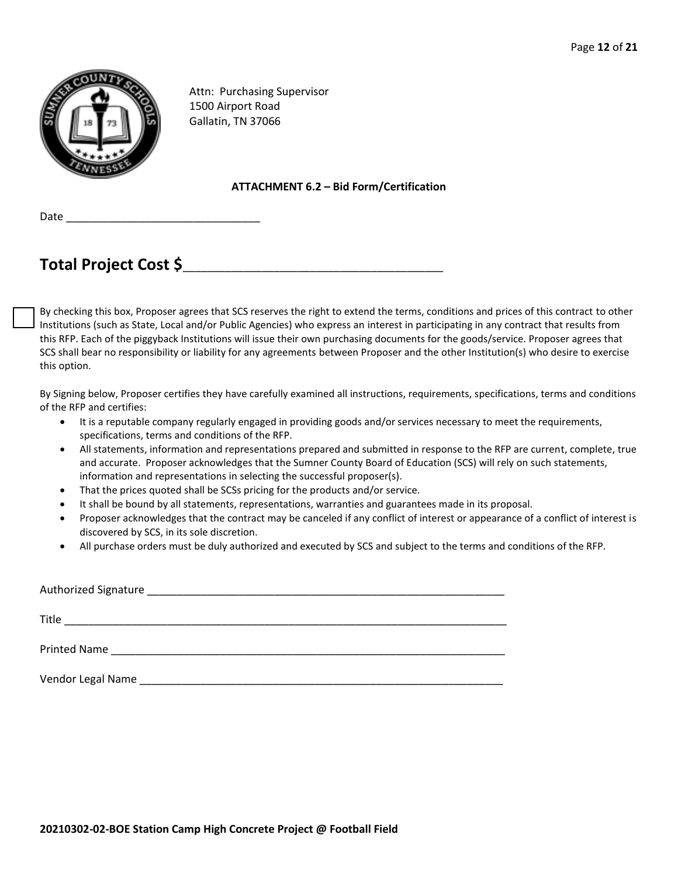

Attn: Purchasing Supervisor 1500 Airport Road Gallatin, TN 37066

#### **ATTACHMENT 6.2 – Bid Form/Certification**

Date \_\_\_\_\_\_\_\_\_\_\_\_\_\_\_\_\_\_\_\_\_\_\_\_\_\_\_\_\_\_\_\_

# **Total Project Cost \$**\_\_\_\_\_\_\_\_\_\_\_\_\_\_\_\_\_\_\_\_\_\_\_\_\_\_\_\_\_\_\_\_\_\_\_\_\_\_\_\_\_\_\_

By checking this box, Proposer agrees that SCS reserves the right to extend the terms, conditions and prices of this contract to other Institutions (such as State, Local and/or Public Agencies) who express an interest in participating in any contract that results from this RFP. Each of the piggyback Institutions will issue their own purchasing documents for the goods/service. Proposer agrees that SCS shall bear no responsibility or liability for any agreements between Proposer and the other Institution(s) who desire to exercise this option.

By Signing below, Proposer certifies they have carefully examined all instructions, requirements, specifications, terms and conditions of the RFP and certifies:

- It is a reputable company regularly engaged in providing goods and/or services necessary to meet the requirements, specifications, terms and conditions of the RFP.
- All statements, information and representations prepared and submitted in response to the RFP are current, complete, true and accurate. Proposer acknowledges that the Sumner County Board of Education (SCS) will rely on such statements, information and representations in selecting the successful proposer(s).
- That the prices quoted shall be SCSs pricing for the products and/or service.
- It shall be bound by all statements, representations, warranties and guarantees made in its proposal.
- Proposer acknowledges that the contract may be canceled if any conflict of interest or appearance of a conflict of interest is discovered by SCS, in its sole discretion.
- All purchase orders must be duly authorized and executed by SCS and subject to the terms and conditions of the RFP.

| Title               |                                                           |  |
|---------------------|-----------------------------------------------------------|--|
| <b>Printed Name</b> | <u> 1989 - John Stone, Amerikaansk politiker (* 1918)</u> |  |
| Vendor Legal Name   |                                                           |  |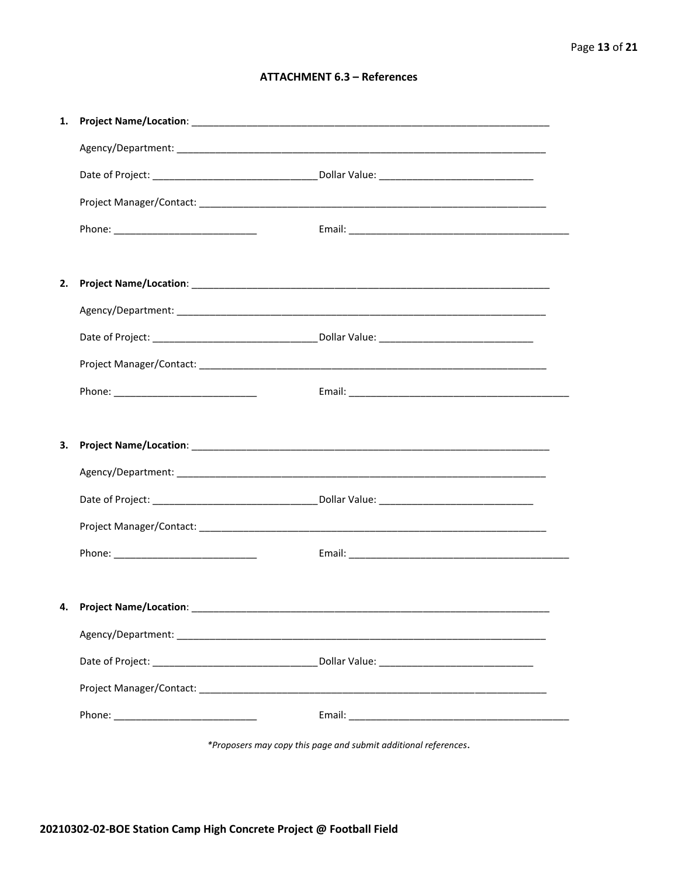#### **ATTACHMENT 6.3 - References**

| 1. |                                    |  |
|----|------------------------------------|--|
|    |                                    |  |
|    |                                    |  |
|    |                                    |  |
|    |                                    |  |
|    |                                    |  |
| 2. |                                    |  |
|    |                                    |  |
|    |                                    |  |
|    |                                    |  |
|    |                                    |  |
|    |                                    |  |
| З. |                                    |  |
|    |                                    |  |
|    |                                    |  |
|    |                                    |  |
|    |                                    |  |
|    |                                    |  |
|    | 4. Project Name/Location: ________ |  |
|    |                                    |  |
|    |                                    |  |
|    |                                    |  |
|    |                                    |  |
|    |                                    |  |

\*Proposers may copy this page and submit additional references.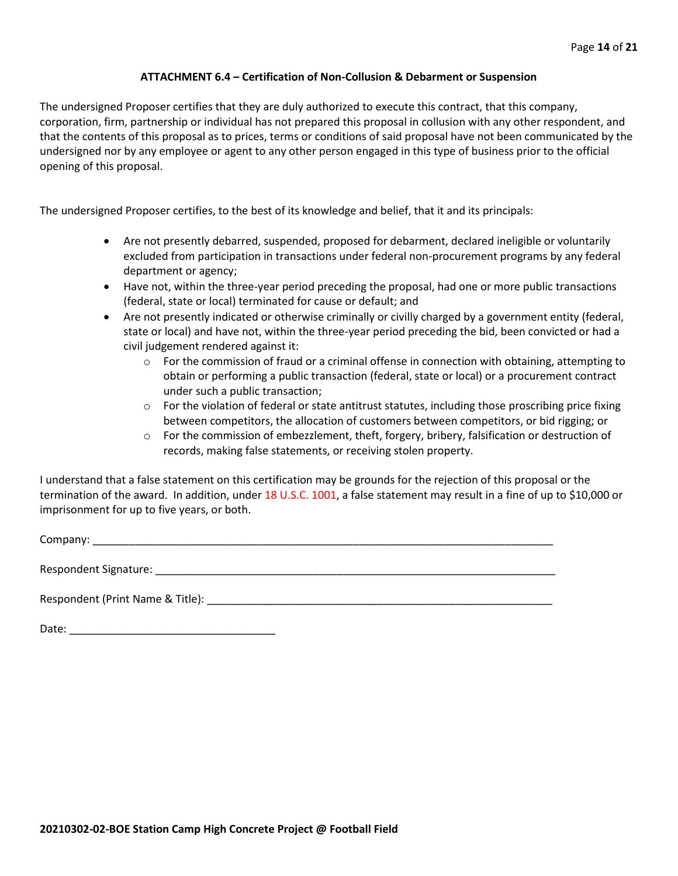#### **ATTACHMENT 6.4 – Certification of Non-Collusion & Debarment or Suspension**

The undersigned Proposer certifies that they are duly authorized to execute this contract, that this company, corporation, firm, partnership or individual has not prepared this proposal in collusion with any other respondent, and that the contents of this proposal as to prices, terms or conditions of said proposal have not been communicated by the undersigned nor by any employee or agent to any other person engaged in this type of business prior to the official opening of this proposal.

The undersigned Proposer certifies, to the best of its knowledge and belief, that it and its principals:

- Are not presently debarred, suspended, proposed for debarment, declared ineligible or voluntarily excluded from participation in transactions under federal non-procurement programs by any federal department or agency;
- Have not, within the three-year period preceding the proposal, had one or more public transactions (federal, state or local) terminated for cause or default; and
- Are not presently indicated or otherwise criminally or civilly charged by a government entity (federal, state or local) and have not, within the three-year period preceding the bid, been convicted or had a civil judgement rendered against it:
	- $\circ$  For the commission of fraud or a criminal offense in connection with obtaining, attempting to obtain or performing a public transaction (federal, state or local) or a procurement contract under such a public transaction;
	- $\circ$  For the violation of federal or state antitrust statutes, including those proscribing price fixing between competitors, the allocation of customers between competitors, or bid rigging; or
	- o For the commission of embezzlement, theft, forgery, bribery, falsification or destruction of records, making false statements, or receiving stolen property.

I understand that a false statement on this certification may be grounds for the rejection of this proposal or the termination of the award. In addition, under 18 U.S.C. 1001, a false statement may result in a fine of up to \$10,000 or imprisonment for up to five years, or both.

Company: \_\_\_\_\_\_\_\_\_\_\_\_\_\_\_\_\_\_\_\_\_\_\_\_\_\_\_\_\_\_\_\_\_\_\_\_\_\_\_\_\_\_\_\_\_\_\_\_\_\_\_\_\_\_\_\_\_\_\_\_\_\_\_\_\_\_\_\_\_\_\_\_\_\_\_\_

Respondent Signature: \_\_\_\_\_\_\_\_\_\_\_\_\_\_\_\_\_\_\_\_\_\_\_\_\_\_\_\_\_\_\_\_\_\_\_\_\_\_\_\_\_\_\_\_\_\_\_\_\_\_\_\_\_\_\_\_\_\_\_\_\_\_\_\_\_\_

Respondent (Print Name & Title): \_\_\_\_\_\_\_\_\_\_\_\_\_\_\_\_\_\_\_\_\_\_\_\_\_\_\_\_\_\_\_\_\_\_\_\_\_\_\_\_\_\_\_\_\_\_\_\_\_\_\_\_\_\_\_\_\_

Date: \_\_\_\_\_\_\_\_\_\_\_\_\_\_\_\_\_\_\_\_\_\_\_\_\_\_\_\_\_\_\_\_\_\_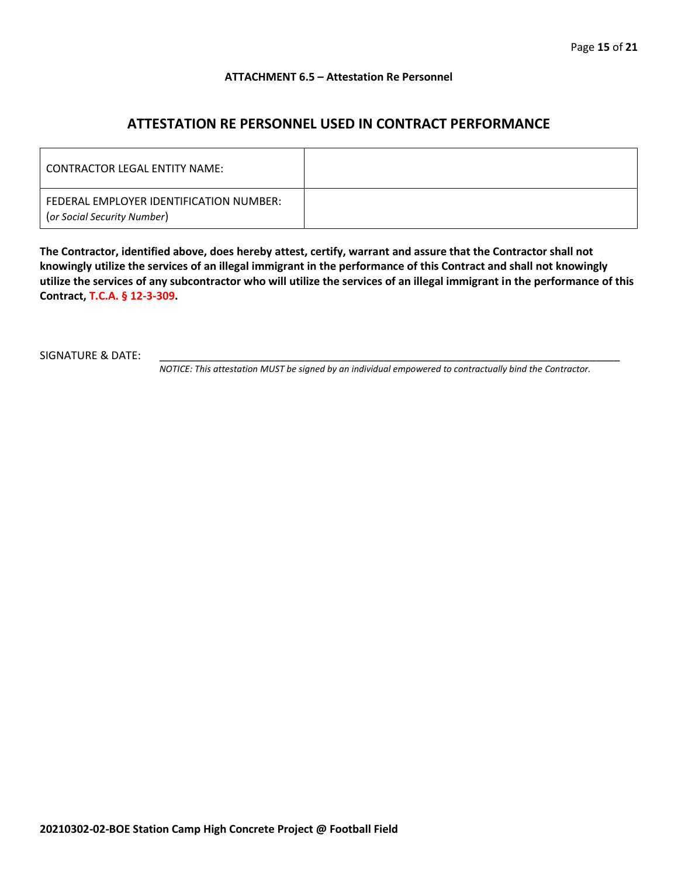#### **ATTACHMENT 6.5 – Attestation Re Personnel**

### **ATTESTATION RE PERSONNEL USED IN CONTRACT PERFORMANCE**

| CONTRACTOR LEGAL ENTITY NAME:                                          |  |
|------------------------------------------------------------------------|--|
| FEDERAL EMPLOYER IDENTIFICATION NUMBER:<br>(or Social Security Number) |  |

**The Contractor, identified above, does hereby attest, certify, warrant and assure that the Contractor shall not knowingly utilize the services of an illegal immigrant in the performance of this Contract and shall not knowingly utilize the services of any subcontractor who will utilize the services of an illegal immigrant in the performance of this Contract, T.C.A. § 12-3-309.**

SIGNATURE & DATE:

*NOTICE: This attestation MUST be signed by an individual empowered to contractually bind the Contractor.*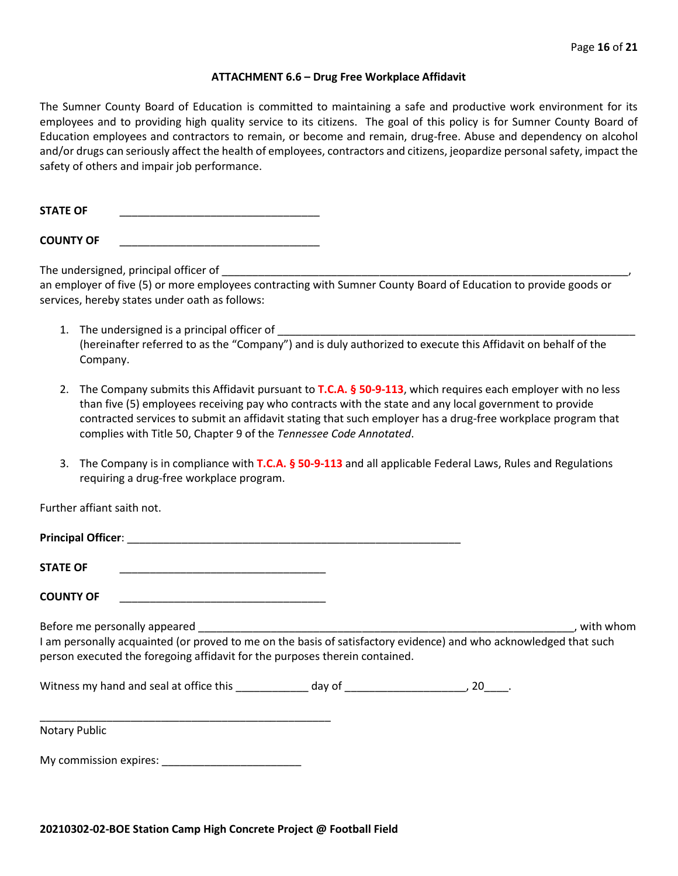#### **ATTACHMENT 6.6 – Drug Free Workplace Affidavit**

The Sumner County Board of Education is committed to maintaining a safe and productive work environment for its employees and to providing high quality service to its citizens. The goal of this policy is for Sumner County Board of Education employees and contractors to remain, or become and remain, drug-free. Abuse and dependency on alcohol and/or drugs can seriously affect the health of employees, contractors and citizens, jeopardize personal safety, impact the safety of others and impair job performance.

STATE OF

**COUNTY OF** \_\_\_\_\_\_\_\_\_\_\_\_\_\_\_\_\_\_\_\_\_\_\_\_\_\_\_\_\_\_\_\_\_

The undersigned, principal officer of

an employer of five (5) or more employees contracting with Sumner County Board of Education to provide goods or services, hereby states under oath as follows:

- 1. The undersigned is a principal officer of (hereinafter referred to as the "Company") and is duly authorized to execute this Affidavit on behalf of the Company.
- 2. The Company submits this Affidavit pursuant to **T.C.A. § 50-9-113**, which requires each employer with no less than five (5) employees receiving pay who contracts with the state and any local government to provide contracted services to submit an affidavit stating that such employer has a drug-free workplace program that complies with Title 50, Chapter 9 of the *Tennessee Code Annotated*.
- 3. The Company is in compliance with **T.C.A. § 50-9-113** and all applicable Federal Laws, Rules and Regulations requiring a drug-free workplace program.

Further affiant saith not.

| <b>Principal Officer:</b>     |             |
|-------------------------------|-------------|
| <b>STATE OF</b>               |             |
| <b>COUNTY OF</b>              |             |
| Before me personally appeared | with whom » |

I am personally acquainted (or proved to me on the basis of satisfactory evidence) and who acknowledged that such person executed the foregoing affidavit for the purposes therein contained.

Witness my hand and seal at office this \_\_\_\_\_\_\_\_\_\_\_\_\_ day of \_\_\_\_\_\_\_\_\_\_\_\_\_\_\_\_\_\_\_\_\_, 20\_\_\_\_.

\_\_\_\_\_\_\_\_\_\_\_\_\_\_\_\_\_\_\_\_\_\_\_\_\_\_\_\_\_\_\_\_\_\_\_\_\_\_\_\_\_\_\_\_\_\_\_\_ Notary Public

My commission expires: **Example 20**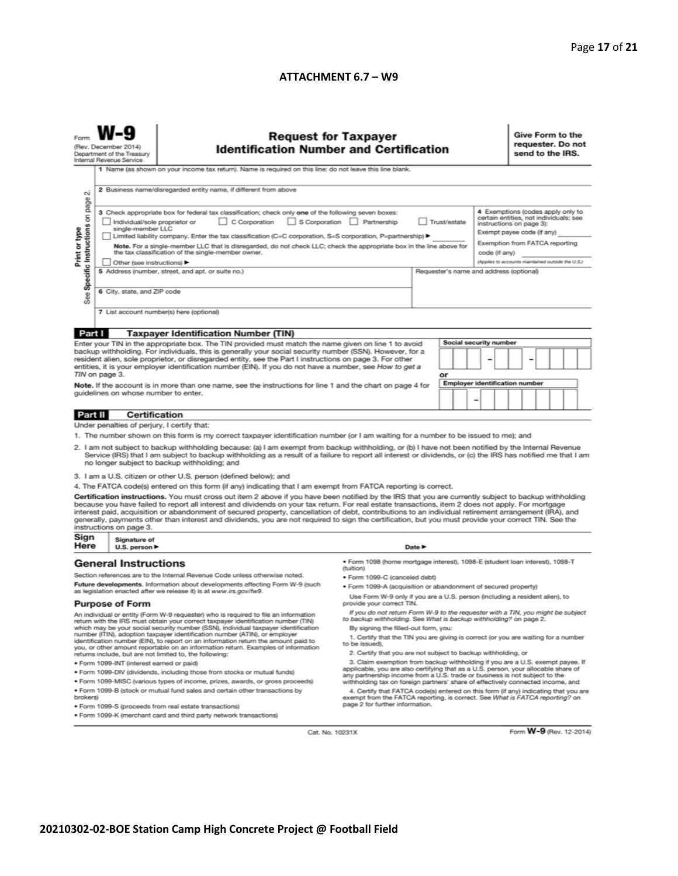#### **ATTACHMENT 6.7 – W9**

|                                                                                                                                                                                                                                                                                                                                                                                                                                                                                                                                                                                                                                                                                                                                                                                                     | (Rev. December 2014)<br>Department of the Treasury<br>Internal Revenue Service                                                                                                | <b>Request for Taxpayer</b><br><b>Identification Number and Certification</b>                                                                                                                                                                                                                                                                                                                                                                                                                                                                                                                                                                                                                                                                                                                                                  |                                                                                                                                                                                                                                                                                                                                                                                                                                                                                                                                                                                                                                                                                                                                                                                                                                                                                                                                                      |        |                        |                                       |  |  | Give Form to the<br>requester. Do not<br>send to the IRS.                                                                                                                                                                    |  |  |  |  |
|-----------------------------------------------------------------------------------------------------------------------------------------------------------------------------------------------------------------------------------------------------------------------------------------------------------------------------------------------------------------------------------------------------------------------------------------------------------------------------------------------------------------------------------------------------------------------------------------------------------------------------------------------------------------------------------------------------------------------------------------------------------------------------------------------------|-------------------------------------------------------------------------------------------------------------------------------------------------------------------------------|--------------------------------------------------------------------------------------------------------------------------------------------------------------------------------------------------------------------------------------------------------------------------------------------------------------------------------------------------------------------------------------------------------------------------------------------------------------------------------------------------------------------------------------------------------------------------------------------------------------------------------------------------------------------------------------------------------------------------------------------------------------------------------------------------------------------------------|------------------------------------------------------------------------------------------------------------------------------------------------------------------------------------------------------------------------------------------------------------------------------------------------------------------------------------------------------------------------------------------------------------------------------------------------------------------------------------------------------------------------------------------------------------------------------------------------------------------------------------------------------------------------------------------------------------------------------------------------------------------------------------------------------------------------------------------------------------------------------------------------------------------------------------------------------|--------|------------------------|---------------------------------------|--|--|------------------------------------------------------------------------------------------------------------------------------------------------------------------------------------------------------------------------------|--|--|--|--|
| οú                                                                                                                                                                                                                                                                                                                                                                                                                                                                                                                                                                                                                                                                                                                                                                                                  | 1 Name (as shown on your income tax return). Name is required on this line; do not leave this line blank.<br>2 Business name/disregarded entity name, if different from above |                                                                                                                                                                                                                                                                                                                                                                                                                                                                                                                                                                                                                                                                                                                                                                                                                                |                                                                                                                                                                                                                                                                                                                                                                                                                                                                                                                                                                                                                                                                                                                                                                                                                                                                                                                                                      |        |                        |                                       |  |  |                                                                                                                                                                                                                              |  |  |  |  |
| page<br>Specific Instructions on<br>Print or type<br>See                                                                                                                                                                                                                                                                                                                                                                                                                                                                                                                                                                                                                                                                                                                                            | Individual/sole proprietor or<br>single-member LLC<br>Other (see instructions) ▶                                                                                              | 3 Check appropriate box for federal tax classification; check only one of the following seven boxes:<br>C Corporation S Corporation Partnership<br>Limited liability company. Enter the tax classification (C=C corporation, S=S corporation, P=partnership) ▶<br>Note. For a single-member LLC that is disregarded, do not check LLC; check the appropriate box in the line above for<br>the tax classification of the single-member owner.                                                                                                                                                                                                                                                                                                                                                                                   | Trust/estate<br>code (if any)                                                                                                                                                                                                                                                                                                                                                                                                                                                                                                                                                                                                                                                                                                                                                                                                                                                                                                                        |        |                        |                                       |  |  | 4 Exemptions (codes apply only to<br>certain entities, not individuals; see<br>instructions on page 3):<br>Exempt payee code (if any)<br>Exemption from FATCA reporting<br>(Applies to accounts maintained outside the U.S.) |  |  |  |  |
|                                                                                                                                                                                                                                                                                                                                                                                                                                                                                                                                                                                                                                                                                                                                                                                                     | 5 Address (number, street, and apt. or suite no.)<br>Requester's name and address (optional)<br>6 City, state, and ZIP code<br>7 List account number(s) here (optional)       |                                                                                                                                                                                                                                                                                                                                                                                                                                                                                                                                                                                                                                                                                                                                                                                                                                |                                                                                                                                                                                                                                                                                                                                                                                                                                                                                                                                                                                                                                                                                                                                                                                                                                                                                                                                                      |        |                        |                                       |  |  |                                                                                                                                                                                                                              |  |  |  |  |
|                                                                                                                                                                                                                                                                                                                                                                                                                                                                                                                                                                                                                                                                                                                                                                                                     |                                                                                                                                                                               |                                                                                                                                                                                                                                                                                                                                                                                                                                                                                                                                                                                                                                                                                                                                                                                                                                |                                                                                                                                                                                                                                                                                                                                                                                                                                                                                                                                                                                                                                                                                                                                                                                                                                                                                                                                                      |        |                        |                                       |  |  |                                                                                                                                                                                                                              |  |  |  |  |
| Part I<br><b>Taxpayer Identification Number (TIN)</b><br>Enter your TIN in the appropriate box. The TIN provided must match the name given on line 1 to avoid                                                                                                                                                                                                                                                                                                                                                                                                                                                                                                                                                                                                                                       |                                                                                                                                                                               |                                                                                                                                                                                                                                                                                                                                                                                                                                                                                                                                                                                                                                                                                                                                                                                                                                |                                                                                                                                                                                                                                                                                                                                                                                                                                                                                                                                                                                                                                                                                                                                                                                                                                                                                                                                                      |        | Social security number |                                       |  |  |                                                                                                                                                                                                                              |  |  |  |  |
| backup withholding. For individuals, this is generally your social security number (SSN). However, for a<br>resident alien, sole proprietor, or disregarded entity, see the Part I instructions on page 3. For other<br>entities, it is your employer identification number (EIN). If you do not have a number, see How to get a                                                                                                                                                                                                                                                                                                                                                                                                                                                                    |                                                                                                                                                                               |                                                                                                                                                                                                                                                                                                                                                                                                                                                                                                                                                                                                                                                                                                                                                                                                                                |                                                                                                                                                                                                                                                                                                                                                                                                                                                                                                                                                                                                                                                                                                                                                                                                                                                                                                                                                      |        |                        |                                       |  |  |                                                                                                                                                                                                                              |  |  |  |  |
|                                                                                                                                                                                                                                                                                                                                                                                                                                                                                                                                                                                                                                                                                                                                                                                                     | TIN on page 3.                                                                                                                                                                |                                                                                                                                                                                                                                                                                                                                                                                                                                                                                                                                                                                                                                                                                                                                                                                                                                |                                                                                                                                                                                                                                                                                                                                                                                                                                                                                                                                                                                                                                                                                                                                                                                                                                                                                                                                                      | or     |                        | <b>Employer identification number</b> |  |  |                                                                                                                                                                                                                              |  |  |  |  |
| Note. If the account is in more than one name, see the instructions for line 1 and the chart on page 4 for<br>guidelines on whose number to enter.                                                                                                                                                                                                                                                                                                                                                                                                                                                                                                                                                                                                                                                  |                                                                                                                                                                               |                                                                                                                                                                                                                                                                                                                                                                                                                                                                                                                                                                                                                                                                                                                                                                                                                                |                                                                                                                                                                                                                                                                                                                                                                                                                                                                                                                                                                                                                                                                                                                                                                                                                                                                                                                                                      |        |                        |                                       |  |  |                                                                                                                                                                                                                              |  |  |  |  |
| Part II                                                                                                                                                                                                                                                                                                                                                                                                                                                                                                                                                                                                                                                                                                                                                                                             | <b>Certification</b>                                                                                                                                                          |                                                                                                                                                                                                                                                                                                                                                                                                                                                                                                                                                                                                                                                                                                                                                                                                                                |                                                                                                                                                                                                                                                                                                                                                                                                                                                                                                                                                                                                                                                                                                                                                                                                                                                                                                                                                      |        |                        |                                       |  |  |                                                                                                                                                                                                                              |  |  |  |  |
| Under penalties of perjury, I certify that:                                                                                                                                                                                                                                                                                                                                                                                                                                                                                                                                                                                                                                                                                                                                                         |                                                                                                                                                                               |                                                                                                                                                                                                                                                                                                                                                                                                                                                                                                                                                                                                                                                                                                                                                                                                                                |                                                                                                                                                                                                                                                                                                                                                                                                                                                                                                                                                                                                                                                                                                                                                                                                                                                                                                                                                      |        |                        |                                       |  |  |                                                                                                                                                                                                                              |  |  |  |  |
| 1. The number shown on this form is my correct taxpayer identification number (or I am waiting for a number to be issued to me); and<br>2. I am not subject to backup withholding because: (a) I am exempt from backup withholding, or (b) I have not been notified by the Internal Revenue<br>Service (IRS) that I am subject to backup withholding as a result of a failure to report all interest or dividends, or (c) the IRS has notified me that I am<br>no longer subject to backup withholding; and                                                                                                                                                                                                                                                                                         |                                                                                                                                                                               |                                                                                                                                                                                                                                                                                                                                                                                                                                                                                                                                                                                                                                                                                                                                                                                                                                |                                                                                                                                                                                                                                                                                                                                                                                                                                                                                                                                                                                                                                                                                                                                                                                                                                                                                                                                                      |        |                        |                                       |  |  |                                                                                                                                                                                                                              |  |  |  |  |
| 3. I am a U.S. citizen or other U.S. person (defined below); and                                                                                                                                                                                                                                                                                                                                                                                                                                                                                                                                                                                                                                                                                                                                    |                                                                                                                                                                               |                                                                                                                                                                                                                                                                                                                                                                                                                                                                                                                                                                                                                                                                                                                                                                                                                                |                                                                                                                                                                                                                                                                                                                                                                                                                                                                                                                                                                                                                                                                                                                                                                                                                                                                                                                                                      |        |                        |                                       |  |  |                                                                                                                                                                                                                              |  |  |  |  |
| 4. The FATCA code(s) entered on this form (if any) indicating that I am exempt from FATCA reporting is correct.<br>Certification instructions. You must cross out item 2 above if you have been notified by the IRS that you are currently subject to backup withholding<br>because you have failed to report all interest and dividends on your tax return. For real estate transactions, item 2 does not apply. For mortgage<br>interest paid, acquisition or abandonment of secured property, cancellation of debt, contributions to an individual retirement arrangement (IRA), and<br>generally, payments other than interest and dividends, you are not required to sign the certification, but you must provide your correct TIN. See the<br>instructions on page 3.<br>Sign<br>Signature of |                                                                                                                                                                               |                                                                                                                                                                                                                                                                                                                                                                                                                                                                                                                                                                                                                                                                                                                                                                                                                                |                                                                                                                                                                                                                                                                                                                                                                                                                                                                                                                                                                                                                                                                                                                                                                                                                                                                                                                                                      |        |                        |                                       |  |  |                                                                                                                                                                                                                              |  |  |  |  |
| Here                                                                                                                                                                                                                                                                                                                                                                                                                                                                                                                                                                                                                                                                                                                                                                                                | U.S. person ▶                                                                                                                                                                 |                                                                                                                                                                                                                                                                                                                                                                                                                                                                                                                                                                                                                                                                                                                                                                                                                                |                                                                                                                                                                                                                                                                                                                                                                                                                                                                                                                                                                                                                                                                                                                                                                                                                                                                                                                                                      | Date P |                        |                                       |  |  |                                                                                                                                                                                                                              |  |  |  |  |
| <b>General Instructions</b>                                                                                                                                                                                                                                                                                                                                                                                                                                                                                                                                                                                                                                                                                                                                                                         |                                                                                                                                                                               |                                                                                                                                                                                                                                                                                                                                                                                                                                                                                                                                                                                                                                                                                                                                                                                                                                | · Form 1098 (home mortgage interest), 1098-E (student Ioan interest), 1098-T<br>(tuition)                                                                                                                                                                                                                                                                                                                                                                                                                                                                                                                                                                                                                                                                                                                                                                                                                                                            |        |                        |                                       |  |  |                                                                                                                                                                                                                              |  |  |  |  |
| Section references are to the Internal Revenue Code unless otherwise noted.<br>Future developments. Information about developments affecting Form W-9 (such<br>as legislation enacted after we release it) is at www.irs.gov/fw9.                                                                                                                                                                                                                                                                                                                                                                                                                                                                                                                                                                   |                                                                                                                                                                               |                                                                                                                                                                                                                                                                                                                                                                                                                                                                                                                                                                                                                                                                                                                                                                                                                                | • Form 1099-C (canceled debt)<br>. Form 1099-A (acquisition or abandonment of secured property)<br>Use Form W-9 only if you are a U.S. person (including a resident alien), to                                                                                                                                                                                                                                                                                                                                                                                                                                                                                                                                                                                                                                                                                                                                                                       |        |                        |                                       |  |  |                                                                                                                                                                                                                              |  |  |  |  |
| brokers)                                                                                                                                                                                                                                                                                                                                                                                                                                                                                                                                                                                                                                                                                                                                                                                            | <b>Purpose of Form</b><br>· Form 1099-INT (interest earned or paid)                                                                                                           | An individual or entity (Form W-9 requester) who is required to file an information<br>return with the IRS must obtain your correct taxpayer identification number (TIN)<br>which may be your social security number (SSN), individual taxpayer identification<br>number (ITIN), adoption taxpayer identification number (ATIN), or employer<br>identification number (EIN), to report on an information return the amount paid to<br>you, or other amount reportable on an information return. Examples of information<br>returns include, but are not limited to, the following:<br>. Form 1099-DIV (dividends, including those from stocks or mutual funds)<br>* Form 1099-MISC (various types of income, prizes, awards, or gross proceeds)<br>. Form 1099-B (stock or mutual fund sales and certain other transactions by | provide your correct TIN.<br>If you do not return Form W-9 to the requester with a TIN, you might be subject<br>to backup withholding. See What is backup withholding? on page 2.<br>By signing the filled-out form, you:<br>1. Certify that the TIN you are giving is correct (or you are waiting for a number<br>to be issued).<br>2. Certify that you are not subject to backup withholding, or<br>3. Claim exemption from backup withholding if you are a U.S. exempt payee. If<br>applicable, you are also certifying that as a U.S. person, your allocable share of<br>any partnership income from a U.S. trade or business is not subject to the<br>withholding tax on foreign partners' share of effectively connected income, and<br>4. Certify that FATCA code(s) entered on this form (if any) indicating that you are<br>exempt from the FATCA reporting, is correct. See What is FATCA reporting? on<br>page 2 for further information. |        |                        |                                       |  |  |                                                                                                                                                                                                                              |  |  |  |  |
| · Form 1099-S (proceeds from real estate transactions)<br>. Form 1099-K (merchant card and third party network transactions)<br>Form W-9 (Rev. 12-2014)                                                                                                                                                                                                                                                                                                                                                                                                                                                                                                                                                                                                                                             |                                                                                                                                                                               |                                                                                                                                                                                                                                                                                                                                                                                                                                                                                                                                                                                                                                                                                                                                                                                                                                |                                                                                                                                                                                                                                                                                                                                                                                                                                                                                                                                                                                                                                                                                                                                                                                                                                                                                                                                                      |        |                        |                                       |  |  |                                                                                                                                                                                                                              |  |  |  |  |
| Cat. No. 10231X                                                                                                                                                                                                                                                                                                                                                                                                                                                                                                                                                                                                                                                                                                                                                                                     |                                                                                                                                                                               |                                                                                                                                                                                                                                                                                                                                                                                                                                                                                                                                                                                                                                                                                                                                                                                                                                |                                                                                                                                                                                                                                                                                                                                                                                                                                                                                                                                                                                                                                                                                                                                                                                                                                                                                                                                                      |        |                        |                                       |  |  |                                                                                                                                                                                                                              |  |  |  |  |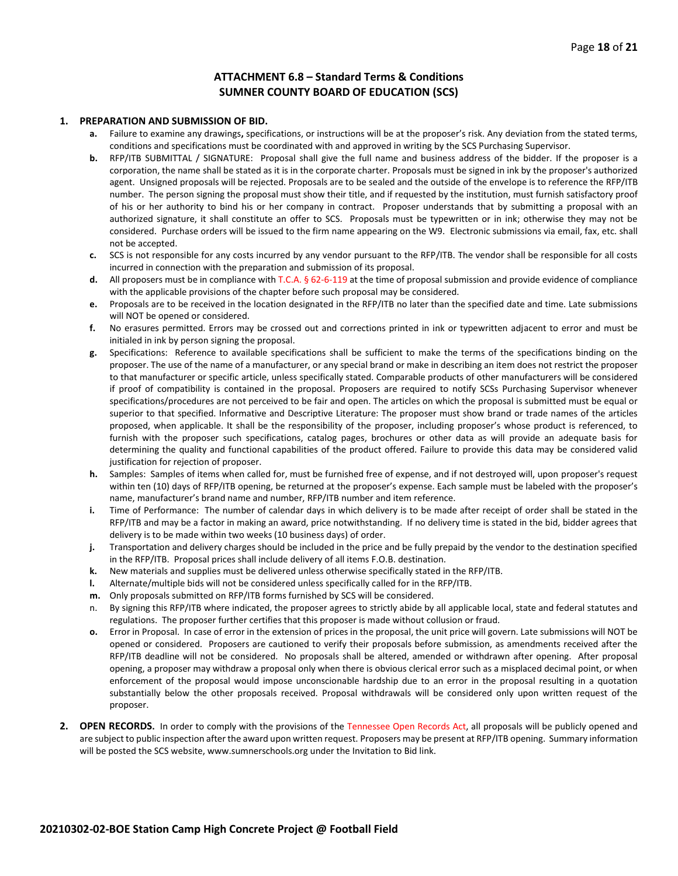#### **ATTACHMENT 6.8 – Standard Terms & Conditions SUMNER COUNTY BOARD OF EDUCATION (SCS)**

#### **1. PREPARATION AND SUBMISSION OF BID.**

- **a.** Failure to examine any drawings**,** specifications, or instructions will be at the proposer's risk. Any deviation from the stated terms, conditions and specifications must be coordinated with and approved in writing by the SCS Purchasing Supervisor.
- **b.** RFP/ITB SUBMITTAL / SIGNATURE: Proposal shall give the full name and business address of the bidder. If the proposer is a corporation, the name shall be stated as it is in the corporate charter. Proposals must be signed in ink by the proposer's authorized agent. Unsigned proposals will be rejected. Proposals are to be sealed and the outside of the envelope is to reference the RFP/ITB number. The person signing the proposal must show their title, and if requested by the institution, must furnish satisfactory proof of his or her authority to bind his or her company in contract. Proposer understands that by submitting a proposal with an authorized signature, it shall constitute an offer to SCS. Proposals must be typewritten or in ink; otherwise they may not be considered. Purchase orders will be issued to the firm name appearing on the W9. Electronic submissions via email, fax, etc. shall not be accepted.
- **c.** SCS is not responsible for any costs incurred by any vendor pursuant to the RFP/ITB. The vendor shall be responsible for all costs incurred in connection with the preparation and submission of its proposal.
- **d.** All proposers must be in compliance with T.C.A. § 62-6-119 at the time of proposal submission and provide evidence of compliance with the applicable provisions of the chapter before such proposal may be considered.
- **e.** Proposals are to be received in the location designated in the RFP/ITB no later than the specified date and time. Late submissions will NOT be opened or considered.
- **f.** No erasures permitted. Errors may be crossed out and corrections printed in ink or typewritten adjacent to error and must be initialed in ink by person signing the proposal.
- **g.** Specifications: Reference to available specifications shall be sufficient to make the terms of the specifications binding on the proposer. The use of the name of a manufacturer, or any special brand or make in describing an item does not restrict the proposer to that manufacturer or specific article, unless specifically stated. Comparable products of other manufacturers will be considered if proof of compatibility is contained in the proposal. Proposers are required to notify SCSs Purchasing Supervisor whenever specifications/procedures are not perceived to be fair and open. The articles on which the proposal is submitted must be equal or superior to that specified. Informative and Descriptive Literature: The proposer must show brand or trade names of the articles proposed, when applicable. It shall be the responsibility of the proposer, including proposer's whose product is referenced, to furnish with the proposer such specifications, catalog pages, brochures or other data as will provide an adequate basis for determining the quality and functional capabilities of the product offered. Failure to provide this data may be considered valid justification for rejection of proposer.
- **h.** Samples: Samples of items when called for, must be furnished free of expense, and if not destroyed will, upon proposer's request within ten (10) days of RFP/ITB opening, be returned at the proposer's expense. Each sample must be labeled with the proposer's name, manufacturer's brand name and number, RFP/ITB number and item reference.
- **i.** Time of Performance: The number of calendar days in which delivery is to be made after receipt of order shall be stated in the RFP/ITB and may be a factor in making an award, price notwithstanding. If no delivery time is stated in the bid, bidder agrees that delivery is to be made within two weeks (10 business days) of order.
- **j.** Transportation and delivery charges should be included in the price and be fully prepaid by the vendor to the destination specified in the RFP/ITB. Proposal prices shall include delivery of all items F.O.B. destination.
- **k.** New materials and supplies must be delivered unless otherwise specifically stated in the RFP/ITB.
- **l.** Alternate/multiple bids will not be considered unless specifically called for in the RFP/ITB.
- **m.** Only proposals submitted on RFP/ITB forms furnished by SCS will be considered.
- n. By signing this RFP/ITB where indicated, the proposer agrees to strictly abide by all applicable local, state and federal statutes and regulations. The proposer further certifies that this proposer is made without collusion or fraud.
- **o.** Error in Proposal. In case of error in the extension of prices in the proposal, the unit price will govern. Late submissions will NOT be opened or considered. Proposers are cautioned to verify their proposals before submission, as amendments received after the RFP/ITB deadline will not be considered. No proposals shall be altered, amended or withdrawn after opening. After proposal opening, a proposer may withdraw a proposal only when there is obvious clerical error such as a misplaced decimal point, or when enforcement of the proposal would impose unconscionable hardship due to an error in the proposal resulting in a quotation substantially below the other proposals received. Proposal withdrawals will be considered only upon written request of the proposer.
- **2. OPEN RECORDS.** In order to comply with the provisions of the Tennessee Open Records Act, all proposals will be publicly opened and are subject to public inspection after the award upon written request. Proposers may be present at RFP/ITB opening. Summary information will be posted the SCS website, www.sumnerschools.org under the Invitation to Bid link.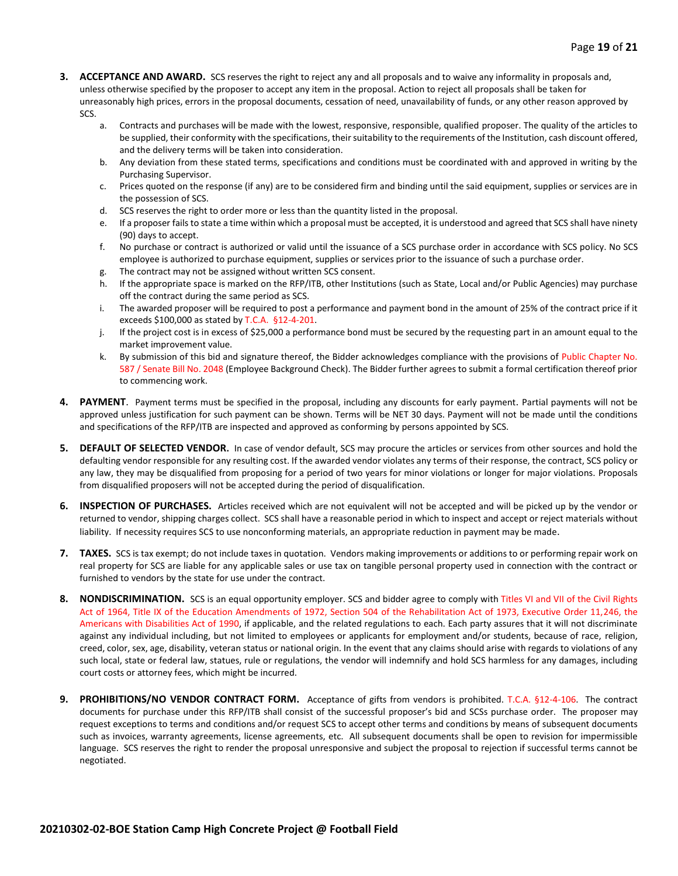- **3. ACCEPTANCE AND AWARD.** SCS reserves the right to reject any and all proposals and to waive any informality in proposals and, unless otherwise specified by the proposer to accept any item in the proposal. Action to reject all proposals shall be taken for unreasonably high prices, errors in the proposal documents, cessation of need, unavailability of funds, or any other reason approved by SCS.
	- a. Contracts and purchases will be made with the lowest, responsive, responsible, qualified proposer. The quality of the articles to be supplied, their conformity with the specifications, their suitability to the requirements of the Institution, cash discount offered, and the delivery terms will be taken into consideration.
	- b. Any deviation from these stated terms, specifications and conditions must be coordinated with and approved in writing by the Purchasing Supervisor.
	- c. Prices quoted on the response (if any) are to be considered firm and binding until the said equipment, supplies or services are in the possession of SCS.
	- d. SCS reserves the right to order more or less than the quantity listed in the proposal.
	- e. If a proposer fails to state a time within which a proposal must be accepted, it is understood and agreed that SCS shall have ninety (90) days to accept.
	- f. No purchase or contract is authorized or valid until the issuance of a SCS purchase order in accordance with SCS policy. No SCS employee is authorized to purchase equipment, supplies or services prior to the issuance of such a purchase order.
	- g. The contract may not be assigned without written SCS consent.
	- h. If the appropriate space is marked on the RFP/ITB, other Institutions (such as State, Local and/or Public Agencies) may purchase off the contract during the same period as SCS.
	- i. The awarded proposer will be required to post a performance and payment bond in the amount of 25% of the contract price if it exceeds \$100,000 as stated by T.C.A. §12-4-201.
	- j. If the project cost is in excess of \$25,000 a performance bond must be secured by the requesting part in an amount equal to the market improvement value.
	- k. By submission of this bid and signature thereof, the Bidder acknowledges compliance with the provisions of Public Chapter No. 587 / Senate Bill No. 2048 (Employee Background Check). The Bidder further agrees to submit a formal certification thereof prior to commencing work.
- **4. PAYMENT**. Payment terms must be specified in the proposal, including any discounts for early payment. Partial payments will not be approved unless justification for such payment can be shown. Terms will be NET 30 days. Payment will not be made until the conditions and specifications of the RFP/ITB are inspected and approved as conforming by persons appointed by SCS.
- **5. DEFAULT OF SELECTED VENDOR.** In case of vendor default, SCS may procure the articles or services from other sources and hold the defaulting vendor responsible for any resulting cost. If the awarded vendor violates any terms of their response, the contract, SCS policy or any law, they may be disqualified from proposing for a period of two years for minor violations or longer for major violations. Proposals from disqualified proposers will not be accepted during the period of disqualification.
- **6. INSPECTION OF PURCHASES.** Articles received which are not equivalent will not be accepted and will be picked up by the vendor or returned to vendor, shipping charges collect. SCS shall have a reasonable period in which to inspect and accept or reject materials without liability. If necessity requires SCS to use nonconforming materials, an appropriate reduction in payment may be made.
- **7. TAXES.** SCS is tax exempt; do not include taxes in quotation. Vendors making improvements or additions to or performing repair work on real property for SCS are liable for any applicable sales or use tax on tangible personal property used in connection with the contract or furnished to vendors by the state for use under the contract.
- **8. NONDISCRIMINATION.** SCS is an equal opportunity employer. SCS and bidder agree to comply with Titles VI and VII of the Civil Rights Act of 1964, Title IX of the Education Amendments of 1972, Section 504 of the Rehabilitation Act of 1973, Executive Order 11,246, the Americans with Disabilities Act of 1990, if applicable, and the related regulations to each. Each party assures that it will not discriminate against any individual including, but not limited to employees or applicants for employment and/or students, because of race, religion, creed, color, sex, age, disability, veteran status or national origin. In the event that any claims should arise with regards to violations of any such local, state or federal law, statues, rule or regulations, the vendor will indemnify and hold SCS harmless for any damages, including court costs or attorney fees, which might be incurred.
- **9. PROHIBITIONS/NO VENDOR CONTRACT FORM.** Acceptance of gifts from vendors is prohibited. T.C.A. §12-4-106. The contract documents for purchase under this RFP/ITB shall consist of the successful proposer's bid and SCSs purchase order. The proposer may request exceptions to terms and conditions and/or request SCS to accept other terms and conditions by means of subsequent documents such as invoices, warranty agreements, license agreements, etc. All subsequent documents shall be open to revision for impermissible language. SCS reserves the right to render the proposal unresponsive and subject the proposal to rejection if successful terms cannot be negotiated.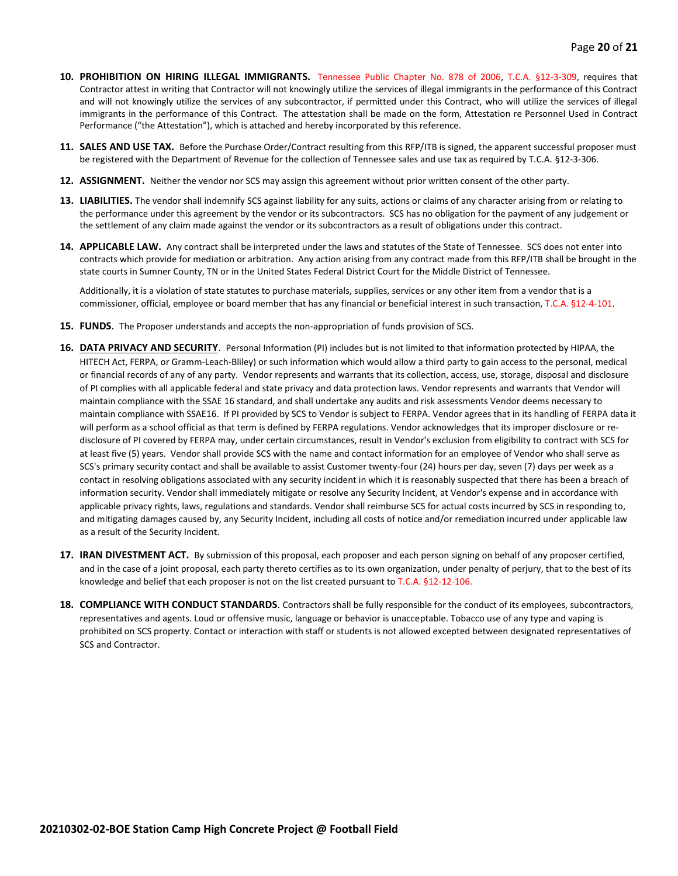- **10. PROHIBITION ON HIRING ILLEGAL IMMIGRANTS.** Tennessee Public Chapter No. 878 of 2006, T.C.A. §12-3-309, requires that Contractor attest in writing that Contractor will not knowingly utilize the services of illegal immigrants in the performance of this Contract and will not knowingly utilize the services of any subcontractor, if permitted under this Contract, who will utilize the services of illegal immigrants in the performance of this Contract. The attestation shall be made on the form, Attestation re Personnel Used in Contract Performance ("the Attestation"), which is attached and hereby incorporated by this reference.
- **11. SALES AND USE TAX.** Before the Purchase Order/Contract resulting from this RFP/ITB is signed, the apparent successful proposer must be registered with the Department of Revenue for the collection of Tennessee sales and use tax as required by T.C.A. §12-3-306.
- **12. ASSIGNMENT.** Neither the vendor nor SCS may assign this agreement without prior written consent of the other party.
- **13. LIABILITIES.** The vendor shall indemnify SCS against liability for any suits, actions or claims of any character arising from or relating to the performance under this agreement by the vendor or its subcontractors. SCS has no obligation for the payment of any judgement or the settlement of any claim made against the vendor or its subcontractors as a result of obligations under this contract.
- **14. APPLICABLE LAW.** Any contract shall be interpreted under the laws and statutes of the State of Tennessee. SCS does not enter into contracts which provide for mediation or arbitration. Any action arising from any contract made from this RFP/ITB shall be brought in the state courts in Sumner County, TN or in the United States Federal District Court for the Middle District of Tennessee.

Additionally, it is a violation of state statutes to purchase materials, supplies, services or any other item from a vendor that is a commissioner, official, employee or board member that has any financial or beneficial interest in such transaction, T.C.A. §12-4-101.

- **15. FUNDS**. The Proposer understands and accepts the non-appropriation of funds provision of SCS.
- **16. DATA PRIVACY AND SECURITY**. Personal Information (PI) includes but is not limited to that information protected by HIPAA, the HITECH Act, FERPA, or Gramm-Leach-Bliley) or such information which would allow a third party to gain access to the personal, medical or financial records of any of any party. Vendor represents and warrants that its collection, access, use, storage, disposal and disclosure of PI complies with all applicable federal and state privacy and data protection laws. Vendor represents and warrants that Vendor will maintain compliance with the SSAE 16 standard, and shall undertake any audits and risk assessments Vendor deems necessary to maintain compliance with SSAE16. If PI provided by SCS to Vendor is subject to FERPA. Vendor agrees that in its handling of FERPA data it will perform as a school official as that term is defined by FERPA regulations. Vendor acknowledges that its improper disclosure or redisclosure of PI covered by FERPA may, under certain circumstances, result in Vendor's exclusion from eligibility to contract with SCS for at least five (5) years. Vendor shall provide SCS with the name and contact information for an employee of Vendor who shall serve as SCS's primary security contact and shall be available to assist Customer twenty-four (24) hours per day, seven (7) days per week as a contact in resolving obligations associated with any security incident in which it is reasonably suspected that there has been a breach of information security. Vendor shall immediately mitigate or resolve any Security Incident, at Vendor's expense and in accordance with applicable privacy rights, laws, regulations and standards. Vendor shall reimburse SCS for actual costs incurred by SCS in responding to, and mitigating damages caused by, any Security Incident, including all costs of notice and/or remediation incurred under applicable law as a result of the Security Incident.
- **17. IRAN DIVESTMENT ACT.** By submission of this proposal, each proposer and each person signing on behalf of any proposer certified, and in the case of a joint proposal, each party thereto certifies as to its own organization, under penalty of perjury, that to the best of its knowledge and belief that each proposer is not on the list created pursuant to T.C.A. §12-12-106.
- **18. COMPLIANCE WITH CONDUCT STANDARDS**. Contractors shall be fully responsible for the conduct of its employees, subcontractors, representatives and agents. Loud or offensive music, language or behavior is unacceptable. Tobacco use of any type and vaping is prohibited on SCS property. Contact or interaction with staff or students is not allowed excepted between designated representatives of SCS and Contractor.